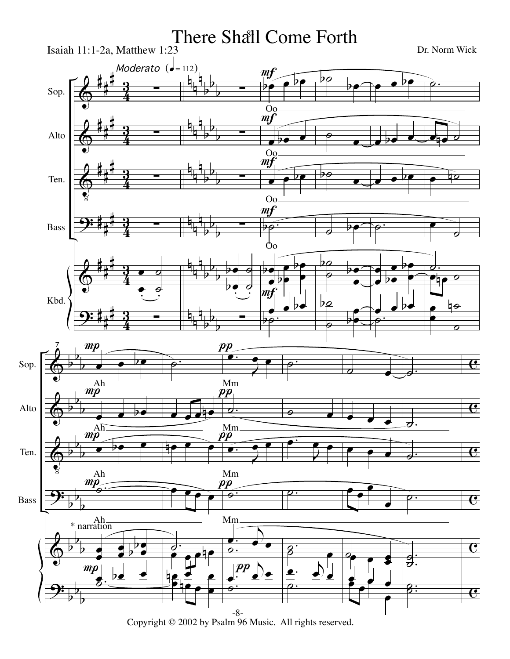

Copyright © 2002 by Psalm 96 Music. All rights reserved.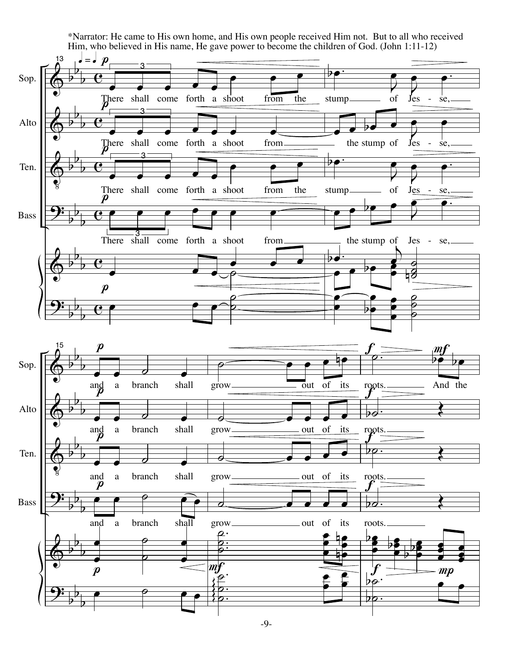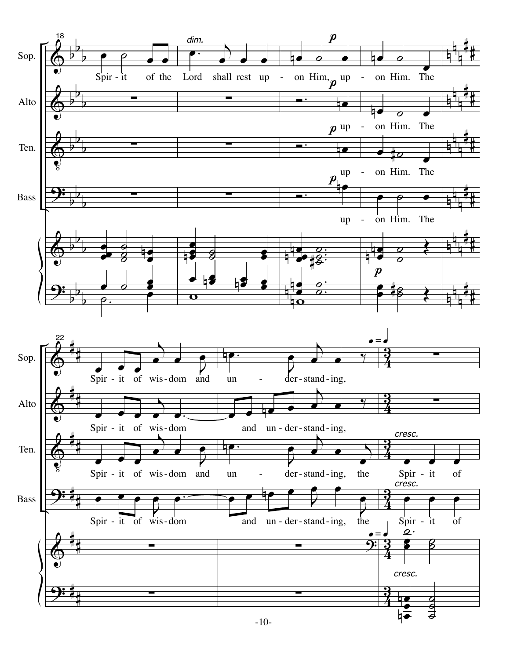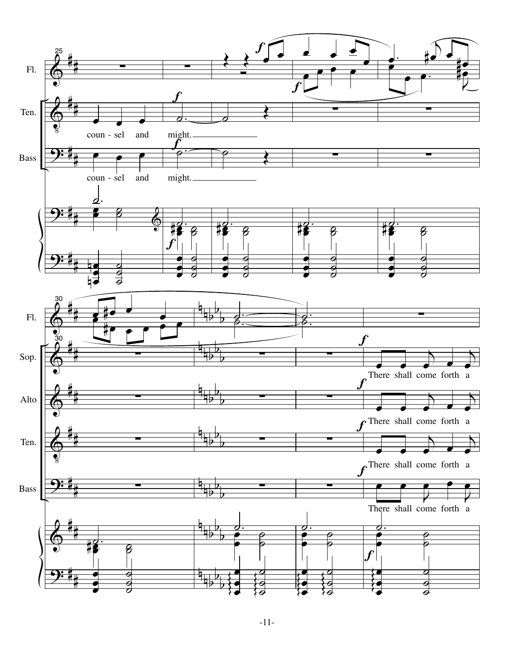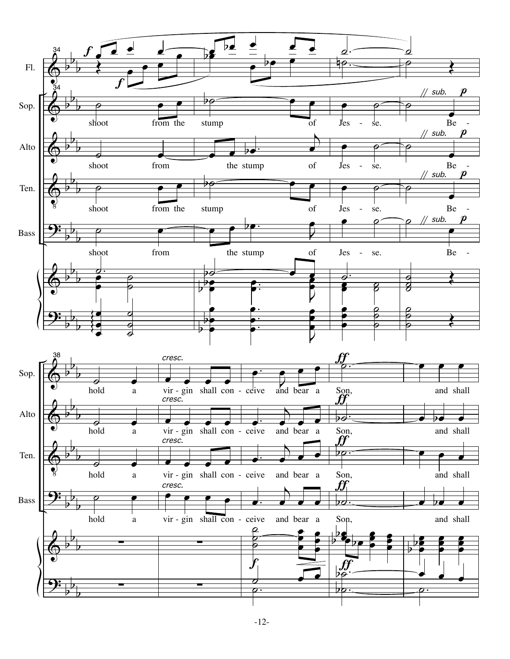